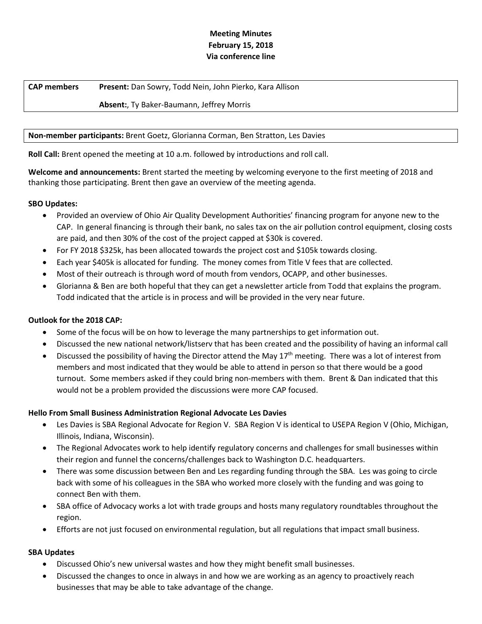# **Meeting Minutes February 15, 2018 Via conference line**

# **CAP members Present:** Dan Sowry, Todd Nein, John Pierko, Kara Allison

# **Absent:**, Ty Baker-Baumann, Jeffrey Morris

# **Non-member participants:** Brent Goetz, Glorianna Corman, Ben Stratton, Les Davies

**Roll Call:** Brent opened the meeting at 10 a.m. followed by introductions and roll call.

**Welcome and announcements:** Brent started the meeting by welcoming everyone to the first meeting of 2018 and thanking those participating. Brent then gave an overview of the meeting agenda.

## **SBO Updates:**

- Provided an overview of Ohio Air Quality Development Authorities' financing program for anyone new to the CAP. In general financing is through their bank, no sales tax on the air pollution control equipment, closing costs are paid, and then 30% of the cost of the project capped at \$30k is covered.
- For FY 2018 \$325k, has been allocated towards the project cost and \$105k towards closing.
- Each year \$405k is allocated for funding. The money comes from Title V fees that are collected.
- Most of their outreach is through word of mouth from vendors, OCAPP, and other businesses.
- Glorianna & Ben are both hopeful that they can get a newsletter article from Todd that explains the program. Todd indicated that the article is in process and will be provided in the very near future.

# **Outlook for the 2018 CAP:**

- Some of the focus will be on how to leverage the many partnerships to get information out.
- Discussed the new national network/listserv that has been created and the possibility of having an informal call
- Discussed the possibility of having the Director attend the May 17<sup>th</sup> meeting. There was a lot of interest from members and most indicated that they would be able to attend in person so that there would be a good turnout. Some members asked if they could bring non-members with them. Brent & Dan indicated that this would not be a problem provided the discussions were more CAP focused.

## **Hello From Small Business Administration Regional Advocate Les Davies**

- Les Davies is SBA Regional Advocate for Region V. SBA Region V is identical to USEPA Region V (Ohio, Michigan, Illinois, Indiana, Wisconsin).
- The Regional Advocates work to help identify regulatory concerns and challenges for small businesses within their region and funnel the concerns/challenges back to Washington D.C. headquarters.
- There was some discussion between Ben and Les regarding funding through the SBA. Les was going to circle back with some of his colleagues in the SBA who worked more closely with the funding and was going to connect Ben with them.
- SBA office of Advocacy works a lot with trade groups and hosts many regulatory roundtables throughout the region.
- Efforts are not just focused on environmental regulation, but all regulations that impact small business.

# **SBA Updates**

- Discussed Ohio's new universal wastes and how they might benefit small businesses.
- Discussed the changes to once in always in and how we are working as an agency to proactively reach businesses that may be able to take advantage of the change.